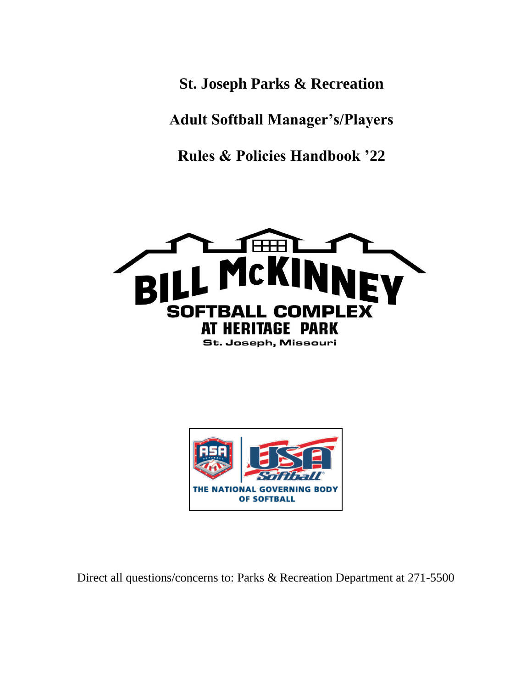**St. Joseph Parks & Recreation**

**Adult Softball Manager's/Players**

**Rules & Policies Handbook '22**





Direct all questions/concerns to: Parks & Recreation Department at 271-5500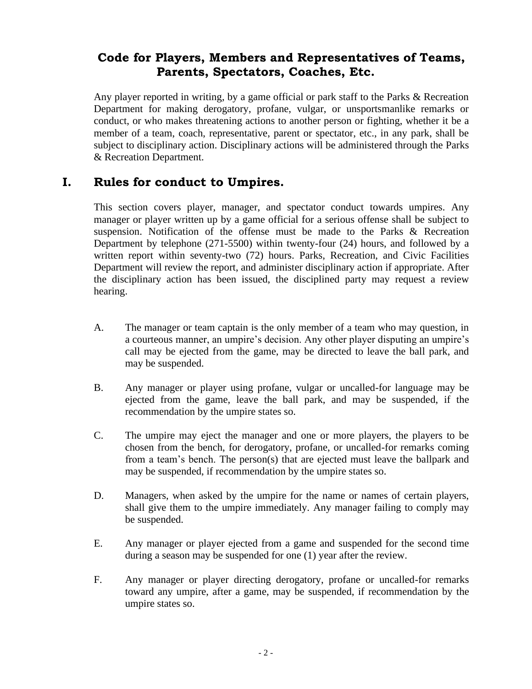# **Code for Players, Members and Representatives of Teams, Parents, Spectators, Coaches, Etc.**

Any player reported in writing, by a game official or park staff to the Parks & Recreation Department for making derogatory, profane, vulgar, or unsportsmanlike remarks or conduct, or who makes threatening actions to another person or fighting, whether it be a member of a team, coach, representative, parent or spectator, etc., in any park, shall be subject to disciplinary action. Disciplinary actions will be administered through the Parks & Recreation Department.

### **I. Rules for conduct to Umpires.**

This section covers player, manager, and spectator conduct towards umpires. Any manager or player written up by a game official for a serious offense shall be subject to suspension. Notification of the offense must be made to the Parks & Recreation Department by telephone (271-5500) within twenty-four (24) hours, and followed by a written report within seventy-two (72) hours. Parks, Recreation, and Civic Facilities Department will review the report, and administer disciplinary action if appropriate. After the disciplinary action has been issued, the disciplined party may request a review hearing.

- A. The manager or team captain is the only member of a team who may question, in a courteous manner, an umpire's decision. Any other player disputing an umpire's call may be ejected from the game, may be directed to leave the ball park, and may be suspended.
- B. Any manager or player using profane, vulgar or uncalled-for language may be ejected from the game, leave the ball park, and may be suspended, if the recommendation by the umpire states so.
- C. The umpire may eject the manager and one or more players, the players to be chosen from the bench, for derogatory, profane, or uncalled-for remarks coming from a team's bench. The person(s) that are ejected must leave the ballpark and may be suspended, if recommendation by the umpire states so.
- D. Managers, when asked by the umpire for the name or names of certain players, shall give them to the umpire immediately. Any manager failing to comply may be suspended.
- E. Any manager or player ejected from a game and suspended for the second time during a season may be suspended for one (1) year after the review.
- F. Any manager or player directing derogatory, profane or uncalled-for remarks toward any umpire, after a game, may be suspended, if recommendation by the umpire states so.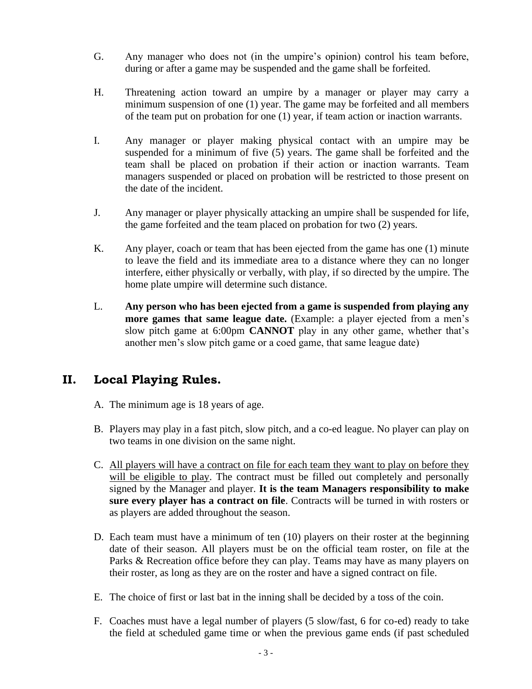- G. Any manager who does not (in the umpire's opinion) control his team before, during or after a game may be suspended and the game shall be forfeited.
- H. Threatening action toward an umpire by a manager or player may carry a minimum suspension of one (1) year. The game may be forfeited and all members of the team put on probation for one (1) year, if team action or inaction warrants.
- I. Any manager or player making physical contact with an umpire may be suspended for a minimum of five (5) years. The game shall be forfeited and the team shall be placed on probation if their action or inaction warrants. Team managers suspended or placed on probation will be restricted to those present on the date of the incident.
- J. Any manager or player physically attacking an umpire shall be suspended for life, the game forfeited and the team placed on probation for two (2) years.
- K. Any player, coach or team that has been ejected from the game has one (1) minute to leave the field and its immediate area to a distance where they can no longer interfere, either physically or verbally, with play, if so directed by the umpire. The home plate umpire will determine such distance.
- L. **Any person who has been ejected from a game is suspended from playing any more games that same league date.** (Example: a player ejected from a men's slow pitch game at 6:00pm **CANNOT** play in any other game, whether that's another men's slow pitch game or a coed game, that same league date)

## **II. Local Playing Rules.**

- A. The minimum age is 18 years of age.
- B. Players may play in a fast pitch, slow pitch, and a co-ed league. No player can play on two teams in one division on the same night.
- C. All players will have a contract on file for each team they want to play on before they will be eligible to play. The contract must be filled out completely and personally signed by the Manager and player. **It is the team Managers responsibility to make sure every player has a contract on file**. Contracts will be turned in with rosters or as players are added throughout the season.
- D. Each team must have a minimum of ten (10) players on their roster at the beginning date of their season. All players must be on the official team roster, on file at the Parks & Recreation office before they can play. Teams may have as many players on their roster, as long as they are on the roster and have a signed contract on file.
- E. The choice of first or last bat in the inning shall be decided by a toss of the coin.
- F. Coaches must have a legal number of players (5 slow/fast, 6 for co-ed) ready to take the field at scheduled game time or when the previous game ends (if past scheduled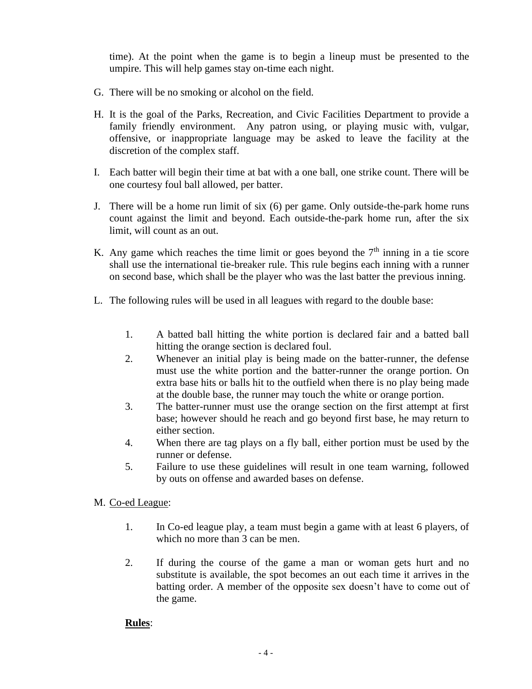time). At the point when the game is to begin a lineup must be presented to the umpire. This will help games stay on-time each night.

- G. There will be no smoking or alcohol on the field.
- H. It is the goal of the Parks, Recreation, and Civic Facilities Department to provide a family friendly environment. Any patron using, or playing music with, vulgar, offensive, or inappropriate language may be asked to leave the facility at the discretion of the complex staff.
- I. Each batter will begin their time at bat with a one ball, one strike count. There will be one courtesy foul ball allowed, per batter.
- J. There will be a home run limit of six (6) per game. Only outside-the-park home runs count against the limit and beyond. Each outside-the-park home run, after the six limit, will count as an out.
- K. Any game which reaches the time limit or goes beyond the  $7<sup>th</sup>$  inning in a tie score shall use the international tie-breaker rule. This rule begins each inning with a runner on second base, which shall be the player who was the last batter the previous inning.
- L. The following rules will be used in all leagues with regard to the double base:
	- 1. A batted ball hitting the white portion is declared fair and a batted ball hitting the orange section is declared foul.
	- 2. Whenever an initial play is being made on the batter-runner, the defense must use the white portion and the batter-runner the orange portion. On extra base hits or balls hit to the outfield when there is no play being made at the double base, the runner may touch the white or orange portion.
	- 3. The batter-runner must use the orange section on the first attempt at first base; however should he reach and go beyond first base, he may return to either section.
	- 4. When there are tag plays on a fly ball, either portion must be used by the runner or defense.
	- 5. Failure to use these guidelines will result in one team warning, followed by outs on offense and awarded bases on defense.

### M. Co-ed League:

- 1. In Co-ed league play, a team must begin a game with at least 6 players, of which no more than 3 can be men.
- 2. If during the course of the game a man or woman gets hurt and no substitute is available, the spot becomes an out each time it arrives in the batting order. A member of the opposite sex doesn't have to come out of the game.

### **Rules**: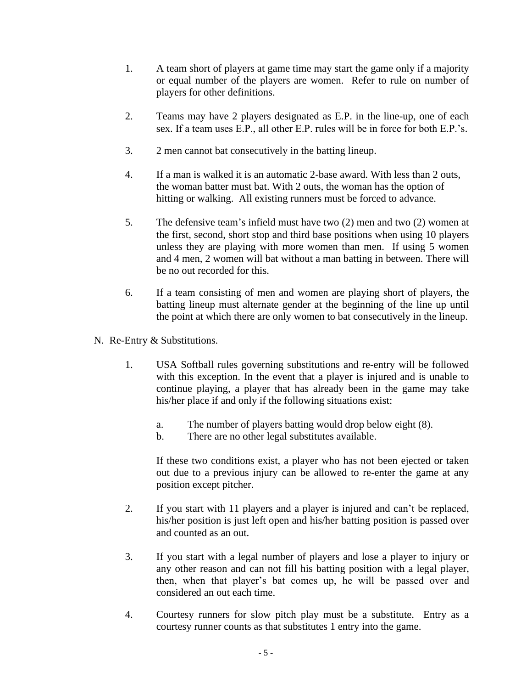- 1. A team short of players at game time may start the game only if a majority or equal number of the players are women. Refer to rule on number of players for other definitions.
- 2. Teams may have 2 players designated as E.P. in the line-up, one of each sex. If a team uses E.P., all other E.P. rules will be in force for both E.P.'s.
- 3. 2 men cannot bat consecutively in the batting lineup.
- 4. If a man is walked it is an automatic 2-base award. With less than 2 outs, the woman batter must bat. With 2 outs, the woman has the option of hitting or walking. All existing runners must be forced to advance.
- 5. The defensive team's infield must have two (2) men and two (2) women at the first, second, short stop and third base positions when using 10 players unless they are playing with more women than men. If using 5 women and 4 men, 2 women will bat without a man batting in between. There will be no out recorded for this.
- 6. If a team consisting of men and women are playing short of players, the batting lineup must alternate gender at the beginning of the line up until the point at which there are only women to bat consecutively in the lineup.
- N. Re-Entry & Substitutions.
	- 1. USA Softball rules governing substitutions and re-entry will be followed with this exception. In the event that a player is injured and is unable to continue playing, a player that has already been in the game may take his/her place if and only if the following situations exist:
		- a. The number of players batting would drop below eight (8).
		- b. There are no other legal substitutes available.

If these two conditions exist, a player who has not been ejected or taken out due to a previous injury can be allowed to re-enter the game at any position except pitcher.

- 2. If you start with 11 players and a player is injured and can't be replaced, his/her position is just left open and his/her batting position is passed over and counted as an out.
- 3. If you start with a legal number of players and lose a player to injury or any other reason and can not fill his batting position with a legal player, then, when that player's bat comes up, he will be passed over and considered an out each time.
- 4. Courtesy runners for slow pitch play must be a substitute. Entry as a courtesy runner counts as that substitutes 1 entry into the game.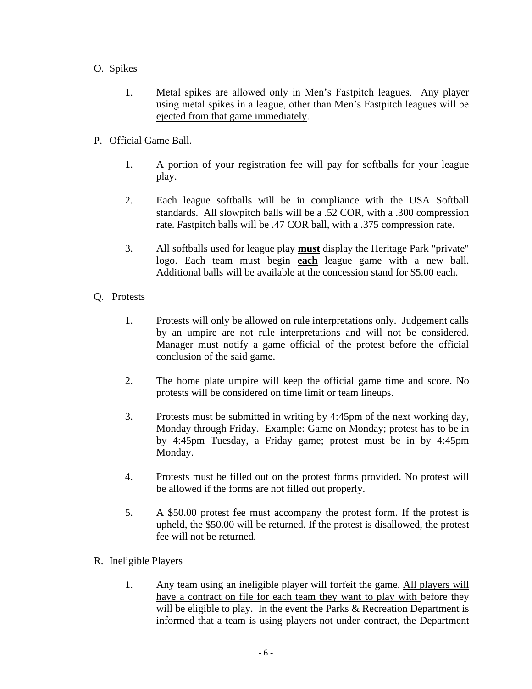- O. Spikes
	- 1. Metal spikes are allowed only in Men's Fastpitch leagues. Any player using metal spikes in a league, other than Men's Fastpitch leagues will be ejected from that game immediately.
- P. Official Game Ball.
	- 1. A portion of your registration fee will pay for softballs for your league play.
	- 2. Each league softballs will be in compliance with the USA Softball standards. All slowpitch balls will be a .52 COR, with a .300 compression rate. Fastpitch balls will be .47 COR ball, with a .375 compression rate.
	- 3. All softballs used for league play **must** display the Heritage Park "private" logo. Each team must begin **each** league game with a new ball. Additional balls will be available at the concession stand for \$5.00 each.
- Q. Protests
	- 1. Protests will only be allowed on rule interpretations only. Judgement calls by an umpire are not rule interpretations and will not be considered. Manager must notify a game official of the protest before the official conclusion of the said game.
	- 2. The home plate umpire will keep the official game time and score. No protests will be considered on time limit or team lineups.
	- 3. Protests must be submitted in writing by 4:45pm of the next working day, Monday through Friday. Example: Game on Monday; protest has to be in by 4:45pm Tuesday, a Friday game; protest must be in by 4:45pm Monday.
	- 4. Protests must be filled out on the protest forms provided. No protest will be allowed if the forms are not filled out properly.
	- 5. A \$50.00 protest fee must accompany the protest form. If the protest is upheld, the \$50.00 will be returned. If the protest is disallowed, the protest fee will not be returned.
- R. Ineligible Players
	- 1. Any team using an ineligible player will forfeit the game. All players will have a contract on file for each team they want to play with before they will be eligible to play. In the event the Parks & Recreation Department is informed that a team is using players not under contract, the Department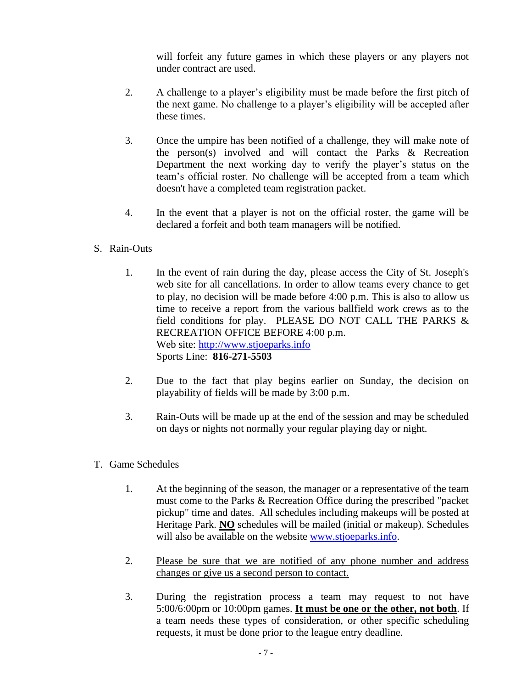will forfeit any future games in which these players or any players not under contract are used.

- 2. A challenge to a player's eligibility must be made before the first pitch of the next game. No challenge to a player's eligibility will be accepted after these times.
- 3. Once the umpire has been notified of a challenge, they will make note of the person(s) involved and will contact the Parks & Recreation Department the next working day to verify the player's status on the team's official roster. No challenge will be accepted from a team which doesn't have a completed team registration packet.
- 4. In the event that a player is not on the official roster, the game will be declared a forfeit and both team managers will be notified.
- S. Rain-Outs
	- 1. In the event of rain during the day, please access the City of St. Joseph's web site for all cancellations. In order to allow teams every chance to get to play, no decision will be made before 4:00 p.m. This is also to allow us time to receive a report from the various ballfield work crews as to the field conditions for play. PLEASE DO NOT CALL THE PARKS & RECREATION OFFICE BEFORE 4:00 p.m. Web site: [http://www.stjoeparks.info](http://www.stjoeparks.info/) Sports Line: **816-271-5503**
	- 2. Due to the fact that play begins earlier on Sunday, the decision on playability of fields will be made by 3:00 p.m.
	- 3. Rain-Outs will be made up at the end of the session and may be scheduled on days or nights not normally your regular playing day or night.
- T. Game Schedules
	- 1. At the beginning of the season, the manager or a representative of the team must come to the Parks & Recreation Office during the prescribed "packet pickup" time and dates. All schedules including makeups will be posted at Heritage Park. **NO** schedules will be mailed (initial or makeup). Schedules will also be available on the website [www.stjoeparks.info.](http://www.stjoeparks.info/)
	- 2. Please be sure that we are notified of any phone number and address changes or give us a second person to contact.
	- 3. During the registration process a team may request to not have 5:00/6:00pm or 10:00pm games. **It must be one or the other, not both**. If a team needs these types of consideration, or other specific scheduling requests, it must be done prior to the league entry deadline.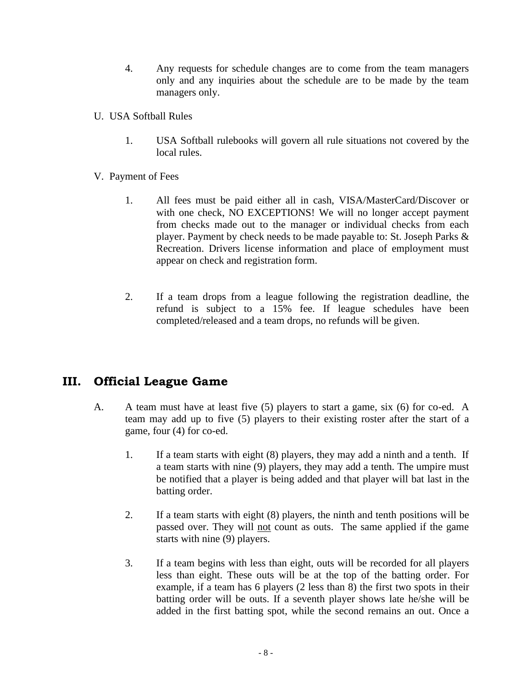- 4. Any requests for schedule changes are to come from the team managers only and any inquiries about the schedule are to be made by the team managers only.
- U. USA Softball Rules
	- 1. USA Softball rulebooks will govern all rule situations not covered by the local rules.
- V. Payment of Fees
	- 1. All fees must be paid either all in cash, VISA/MasterCard/Discover or with one check, NO EXCEPTIONS! We will no longer accept payment from checks made out to the manager or individual checks from each player. Payment by check needs to be made payable to: St. Joseph Parks & Recreation. Drivers license information and place of employment must appear on check and registration form.
	- 2. If a team drops from a league following the registration deadline, the refund is subject to a 15% fee. If league schedules have been completed/released and a team drops, no refunds will be given.

## **III. Official League Game**

- A. A team must have at least five (5) players to start a game, six (6) for co-ed. A team may add up to five (5) players to their existing roster after the start of a game, four (4) for co-ed.
	- 1. If a team starts with eight (8) players, they may add a ninth and a tenth. If a team starts with nine (9) players, they may add a tenth. The umpire must be notified that a player is being added and that player will bat last in the batting order.
	- 2. If a team starts with eight (8) players, the ninth and tenth positions will be passed over. They will not count as outs. The same applied if the game starts with nine (9) players.
	- 3. If a team begins with less than eight, outs will be recorded for all players less than eight. These outs will be at the top of the batting order. For example, if a team has 6 players (2 less than 8) the first two spots in their batting order will be outs. If a seventh player shows late he/she will be added in the first batting spot, while the second remains an out. Once a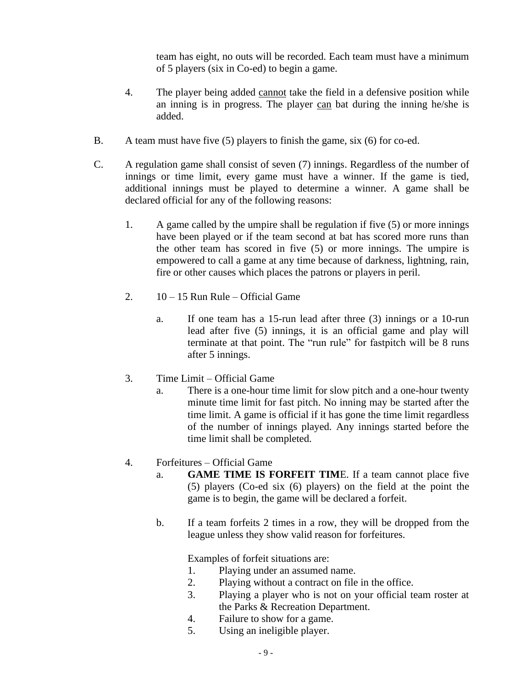team has eight, no outs will be recorded. Each team must have a minimum of 5 players (six in Co-ed) to begin a game.

- 4. The player being added cannot take the field in a defensive position while an inning is in progress. The player can bat during the inning he/she is added.
- B. A team must have five (5) players to finish the game, six (6) for co-ed.
- C. A regulation game shall consist of seven (7) innings. Regardless of the number of innings or time limit, every game must have a winner. If the game is tied, additional innings must be played to determine a winner. A game shall be declared official for any of the following reasons:
	- 1. A game called by the umpire shall be regulation if five (5) or more innings have been played or if the team second at bat has scored more runs than the other team has scored in five (5) or more innings. The umpire is empowered to call a game at any time because of darkness, lightning, rain, fire or other causes which places the patrons or players in peril.
	- 2.  $10 15$  Run Rule Official Game
		- a. If one team has a 15-run lead after three (3) innings or a 10-run lead after five (5) innings, it is an official game and play will terminate at that point. The "run rule" for fastpitch will be 8 runs after 5 innings.
	- 3. Time Limit Official Game
		- a. There is a one-hour time limit for slow pitch and a one-hour twenty minute time limit for fast pitch. No inning may be started after the time limit. A game is official if it has gone the time limit regardless of the number of innings played. Any innings started before the time limit shall be completed.

### 4. Forfeitures – Official Game

- a. **GAME TIME IS FORFEIT TIM**E. If a team cannot place five (5) players (Co-ed six (6) players) on the field at the point the game is to begin, the game will be declared a forfeit.
- b. If a team forfeits 2 times in a row, they will be dropped from the league unless they show valid reason for forfeitures.

Examples of forfeit situations are:

- 1. Playing under an assumed name.
- 2. Playing without a contract on file in the office.
- 3. Playing a player who is not on your official team roster at the Parks & Recreation Department.
- 4. Failure to show for a game.
- 5. Using an ineligible player.